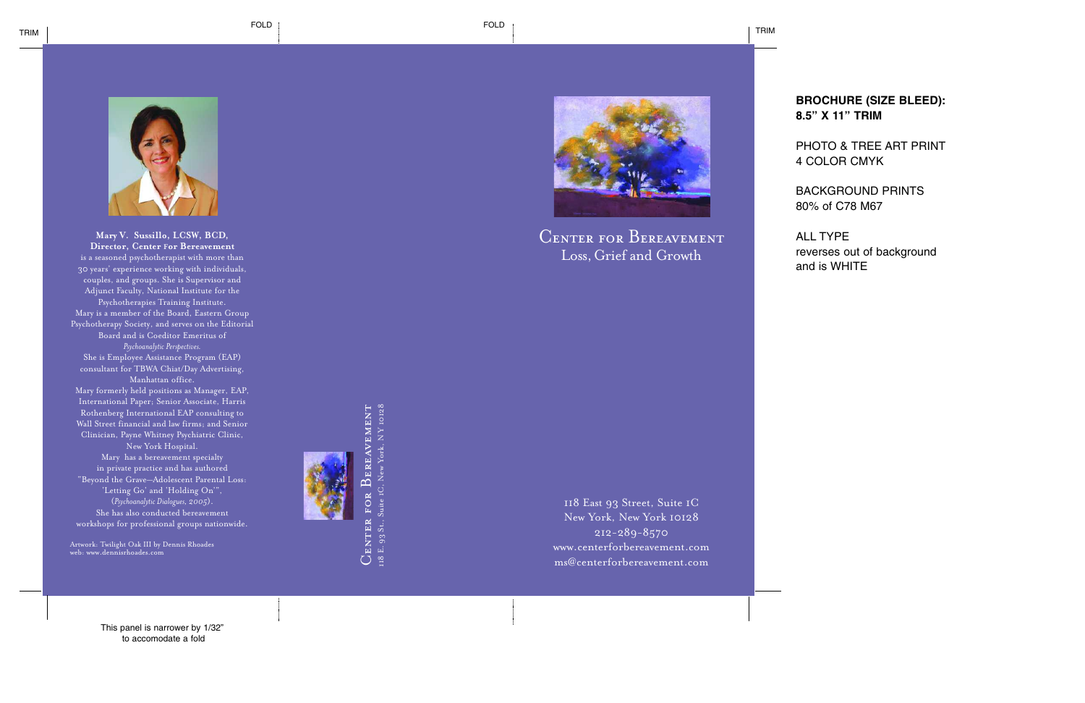

**Mary V. Sussillo, LCSW, BCD, Director, Center For Bereavement**  is a seasoned psychotherapist with more than 30 years' experience working with individuals, couples, and groups. She is Supervisor and Adjunct Faculty, National Institute for the Psychotherapies Training Institute. Mary is a member of the Board, Eastern Group Psychotherapy Society, and serves on the Editorial Board and is Coeditor Emeritus of *Psychoanalytic Perspectives.*  She is Employee Assistance Program (EAP) consultant for TBWA Chiat/Day Advertising, Manhattan office. Mary formerly held positions as Manager, EAP, International Paper; Senior Associate, Harris Rothenberg International EAP consulting to Wall Street financial and law firms; and Senior Clinician, Payne Whitney Psychiatric Clinic, New York Hospital. Mary has a bereavement specialty in private practice and has authored "Beyond the Grave—Adolescent Parental Loss: 'Letting Go' and 'Holding On'", (*Psychoanalytic Dialogues, 2005*). She has also conducted bereavement

workshops for professional groups nationwide.

Artwork: Twilight Oak III by Dennis Rhoades web: www.dennisrhoades.com



EREAVEMENT  $C$ enter for Bereavement Suite 1C, New York, NY 10128 118 E. 93 St., Suite 1C, New York, N Y 10128  $\overline{\mathbf{D}}$ JENTER FOR 118 E. 93 St.,



# Center for Bereavement Loss, Grief and Growth

118 East 93 Street, Suite 1C New York, New York 10128 212-289-8570 www.centerforbereavement.com ms@centerforbereavement.com